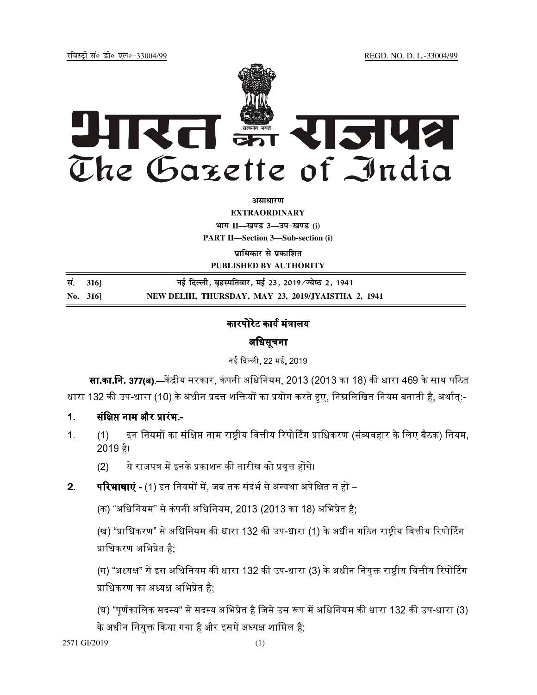REGD. NO. D. L.-33004/99

रजिस्टी सं० डी० एल०-33004/99



अमाधारण

**EXTRAORDINARY** भाग II-खण्ड 3-उप-खण्ड (i) **PART II-Section 3-Sub-section (i)** 

प्राधिकार से प्रकाशित

PUBLISHED BY AUTHORITY

| सं. 316]  | नई दिल्ली, बृहस्पतिवार, मई 23, 2019/ज्येष्ठ 2, 1941 |
|-----------|-----------------------------------------------------|
| No. $316$ | NEW DELHI, THURSDAY, MAY 23, 2019/JYAISTHA 2, 1941  |

# कारपोरेट कार्य मंत्रालय

# अधिसूचना

नई दिल्ली, 22 मई, 2019

**सा.का.नि. 377(ब).—**केंद्रीय सरकार, कंपनी अधिनियम, 2013 (2013 का 18) की धारा 469 के साथ पठित धारा 132 की उप-धारा (10) के अधीन प्रदत्त शक्तियों का प्रयोग करते हुए, निम्नलिखित नियम बनाती है, अर्थात्:-

- संक्षिप्त नाम और प्रारंभ - $\overline{1}$ .
- इन नियमों का संक्षिप्त नाम राष्ट्रीय वित्तीय रिपोर्टिंग प्राधिकरण (संव्यवहार के लिए बैठक) नियम,  $1<sub>1</sub>$  $(1)$ 2019 है।

ये राजपत्र में इनके प्रकाशन की तारीख को प्रवृत्त होंगे।  $(2)$ 

**परिभाषाएं -** (1) इन नियमों में, जब तक संदर्भ से अन्यथा अपेक्षित न हो –  $2.$ 

(क) "अधिनियम" से कंपनी अधिनियम, 2013 (2013 का 18) अभिप्रेत है;

(ख) "प्राधिकरण" से अधिनियम की धारा 132 की उप-धारा (1) के अधीन गठित राष्ट्रीय वित्तीय रिपोर्टिंग प्राधिकरण अभिप्रेत है:

(ग) "अध्यक्ष" से इस अधिनियम की धारा 132 की उप-धारा (3) के अधीन नियुक्त राष्ट्रीय वित्तीय रिपोर्टिंग प्राधिकरण का अध्यक्ष अभिप्रेत है:

(घ) "पूर्णकालिक सदस्य" से सदस्य अभिप्रेत है जिसे उस रूप में अधिनियम की धारा 132 की उप-धारा (3) के अधीन नियुक्त किया गया है और इसमें अध्यक्ष शामिल है;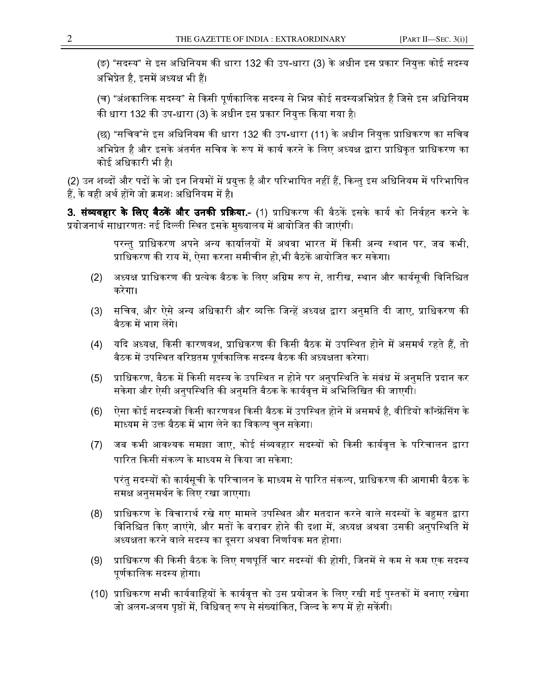(ङ) "सदस्य" से इस अधिनियम की धारा 132 की उप-धारा (3) के अधीन इस प्रकार नियुक्त कोई सदस्य अभिप्रेत है, इसमें अध्यक्ष भी हैं।

(च) "अंशकालिक सदस्य" से किसी पूर्णकालिक सदस्य से भिन्न कोई सदस्यअभिप्रेत है जिसे इस अधिनियम की धारा 132 की उप-धारा (3) के अधीन इस प्रकार नियुक्त किया गया है।

(छ) "सचिव"से इस अधिनियम की धारा 132 की उप-धारा (11) के अधीन नियुक्त प्राधिकरण का सचिव अभिप्रेत है और इसके अंतर्गत सचिव के रूप में कार्य करने के लिए अध्यक्ष द्वारा प्राधिकृत प्राधिकरण का कोई अधिकारी भी है।

(2) उन शब्दों और पदों के जो इन नियमों में प्रयुक्त है और परिभाषित नहीं हैं, किन्तु इस अधिनियम में परिभाषित हैं. के वही अर्थ होंगे जो क्रमशः अधिनियम में है।

3. **संव्यवहार के लिए बैठकें और उनकी प्रक्रिया.-** (1) प्राधिकरण की बैठकें इसके कार्य को निर्वहन करने के प्रयोजनार्थ साधारणतः नई दिल्ली स्थित इसके मुख्यालय में आयोजित की जाएंगी।

> परन्तु प्राधिकरण अपने अन्य कार्यालयों में अथवा भारत में किसी अन्य स्थान पर, जब कभी, प्राधिकरण की राय में, ऐसा करना समीचीन हो,भी बैठकें आयोजित कर सकेगा।

- अध्यक्ष प्राधिकरण की प्रत्येक बैठक के लिए अग्रिम रूप से, तारीख, स्थान और कार्यसूची विनिश्चित  $(2)$ करेगा।
- सचिव, और ऐसे अन्य अधिकारी और व्यक्ति जिन्हें अध्यक्ष द्वारा अनुमति दी जाए, प्राधिकरण की  $(3)$ बैठक में भाग लेंगे।
- यदि अध्यक्ष, किसी कारणवश, प्राधिकरण की किसी बैठक में उपस्थित होने में असमर्थ रहते हैं, तो  $(4)$ बैठक में उपस्थित वरिष्ठतम पूर्णकालिक सदस्य बैठक की अध्यक्षता करेगा।
- प्राधिकरण, बैठक में किसी सदस्य के उपस्थित न होने पर अनुपस्थिति के संबंध में अनुमति प्रदान कर  $(5)$ सकेगा और ऐसी अनुपस्थिति की अनुमति बैठक के कार्यवृत्त में अभिलिखित की जाएगी।
- ऐसा कोई सदस्यजो किसी कारणवश किसी बैठक में उपस्थित होने में असमर्थ है, वीडियो कॉन्फ्रेंसिंग के  $(6)$ माध्यम से उक्त बैठक में भाग लेने का विकल्प चुन सकेगा।
- जब कभी आवश्यक समझा जाए, कोई संव्यवहार सदस्यों को किसी कार्यवृत्त के परिचालन द्वारा  $(7)$ पारित किसी संकल्प के माध्यम से किया जा सकेगा:

परंतु सदस्यों को कार्यसूची के परिचालन के माध्यम से पारित संकल्प, प्राधिकरण की आगामी बैठक के समक्ष अनुसमर्थन के लिए रखा जाएगा।

- प्राधिकरण के विचारार्थ रखे गए मामले उपस्थित और मतदान करने वाले सदस्यों के बहुमत द्वारा  $(8)$ विनिश्चित किए जाएंगे, और मतों के बराबर होने की दशा में, अध्यक्ष अथवा उसकी अनुपस्थिति में अध्यक्षता करने वाले सदस्य का दूसरा अथवा निर्णायक मत होगा।
- $(9)$ प्राधिकरण की किसी बैठक के लिए गणपूर्ति चार सदस्यों की होगी, जिनमें से कम से कम एक सदस्य पूर्णकालिक सदस्य होगा।
- (10) प्राधिकरण सभी कार्यवाहियों के कार्यवृत्त को उस प्रयोजन के लिए रखी गई पुस्तकों में बनाए रखेगा जो अलग-अलग पृष्ठों में. विधिवत रूप से संख्यांकित. जिल्द के रूप में हो सकेंगी।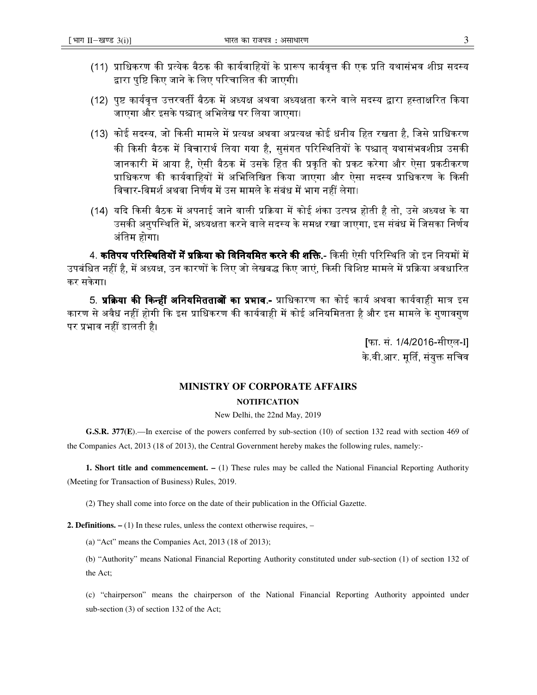- (11) प्राधिकरण की प्रत्येक बैठक की कार्यवाहियों के प्रारूप कार्यवृत्त की एक प्रति यथासंभव शीघ्र सदस्य द्वारा पष्टि किए जाने के लिए परिचालित की जाएगी।
- (12) पृष्ट कार्यवृत्त उत्तरवर्ती बैठक में अध्यक्ष अथवा अध्यक्षता करने वाले सदस्य द्वारा हस्ताक्षरित किया जाएगा और इसके पश्चात अभिलेख पर लिया जाएगा।
- (13) कोई सदस्य, जो किसी मामले में प्रत्यक्ष अथवा अप्रत्यक्ष कोई धनीय हित रखता है, जिसे प्राधिकरण की किसी बैठक में विचारार्थ लिया गया है, सुसंगत परिस्थितियों के पश्चात् यथासंभवशीघ्र उसक<mark>ी</mark> जानकारी में आया है, ऐसी बैठक में उसके हित की प्रकृति को प्रकट करेगा और ऐसा प्रकटीकरण प्राधिकरण की कार्यवाहियों में अभिलिखित किया जाएगा और ऐसा सदस्य प्राधिकरण के किसी विचार-विमर्श अथवा निर्णय में उस मामले के संबंध में भाग नहीं लेगा।
- (14) यदि किसी बैठक में अपनाई जाने वाली प्रक्रिया में कोई शंका उत्पन्न होती है तो. उसे अध्यक्ष के या उसकी अनुपस्थिति में, अध्यक्षता करने वाले सदस्य के समक्ष रखा जाएगा, इस संबंध में जिसका निर्णय अंतिम होगा।

4. **कतिपय परिस्थितियों में प्रक्रिया को विनियमित करने की शक्ति.-** किसी ऐसी परिस्थिति जो इन नियमों में उपबंधित नहीं है. में अध्यक्ष, उन कारणों के लिए जो लेखबद्ध किए जाएं. किसी विशिष्ट मामले में प्रक्रिया अवधारित कर सकेगा।

5. **प्रक्रिया की किन्हीं अनियमितताओं का प्रभाव.-** प्राधिकारण का कोई कार्य अथवा कार्यवाही मात्र इस कारण से अवैध नहीं होगी कि इस प्राधिकरण की कार्यवाही में कोई अनियमितता है और इस मामले के गुणावगुण पर प्रभाव नहीं डालती है।

> |फा. सं. 1/4/2016-सीएल-II के वी आर. मूर्ति, संयुक्त सचिव

## **MINISTRY OF CORPORATE AFFAIRS**

### **NOTIFICATION**

### New Delhi, the 22nd May, 2019

G.S.R. 377(E).—In exercise of the powers conferred by sub-section (10) of section 132 read with section 469 of the Companies Act, 2013 (18 of 2013), the Central Government hereby makes the following rules, namely:-

**1. Short title and commencement.**  $- (1)$  These rules may be called the National Financial Reporting Authority (Meeting for Transaction of Business) Rules, 2019.

(2) They shall come into force on the date of their publication in the Official Gazette.

**2. Definitions.**  $- (1)$  In these rules, unless the context otherwise requires,  $-$ 

(a) "Act" means the Companies Act,  $2013$  (18 of  $2013$ );

(b) "Authority" means National Financial Reporting Authority constituted under sub-section (1) of section 132 of the Act;

(c) "chairperson" means the chairperson of the National Financial Reporting Authority appointed under sub-section (3) of section 132 of the Act;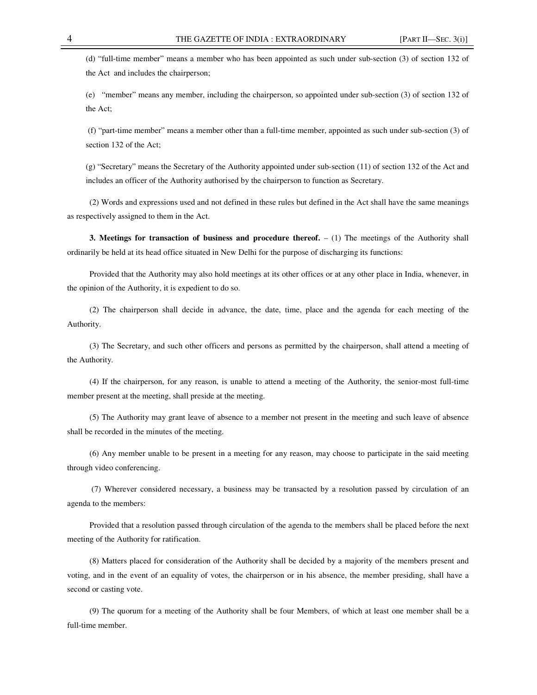(d) "full-time member" means a member who has been appointed as such under sub-section (3) of section 132 of the Act and includes the chairperson;

(e) "member" means any member, including the chairperson, so appointed under sub-section (3) of section 132 of the Act;

 (f) "part-time member" means a member other than a full-time member, appointed as such under sub-section (3) of section 132 of the Act;

(g) "Secretary" means the Secretary of the Authority appointed under sub-section (11) of section 132 of the Act and includes an officer of the Authority authorised by the chairperson to function as Secretary.

(2) Words and expressions used and not defined in these rules but defined in the Act shall have the same meanings as respectively assigned to them in the Act.

**3. Meetings for transaction of business and procedure thereof.**  $- (1)$  The meetings of the Authority shall ordinarily be held at its head office situated in New Delhi for the purpose of discharging its functions:

Provided that the Authority may also hold meetings at its other offices or at any other place in India, whenever, in the opinion of the Authority, it is expedient to do so.

(2) The chairperson shall decide in advance, the date, time, place and the agenda for each meeting of the Authority.

(3) The Secretary, and such other officers and persons as permitted by the chairperson, shall attend a meeting of the Authority.

(4) If the chairperson, for any reason, is unable to attend a meeting of the Authority, the senior-most full-time member present at the meeting, shall preside at the meeting.

(5) The Authority may grant leave of absence to a member not present in the meeting and such leave of absence shall be recorded in the minutes of the meeting.

(6) Any member unable to be present in a meeting for any reason, may choose to participate in the said meeting through video conferencing.

 (7) Wherever considered necessary, a business may be transacted by a resolution passed by circulation of an agenda to the members:

Provided that a resolution passed through circulation of the agenda to the members shall be placed before the next meeting of the Authority for ratification.

(8) Matters placed for consideration of the Authority shall be decided by a majority of the members present and voting, and in the event of an equality of votes, the chairperson or in his absence, the member presiding, shall have a second or casting vote.

(9) The quorum for a meeting of the Authority shall be four Members, of which at least one member shall be a full-time member.